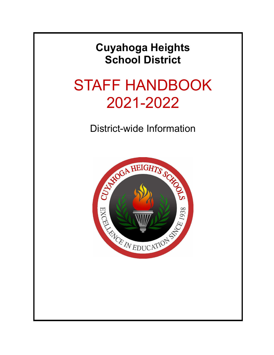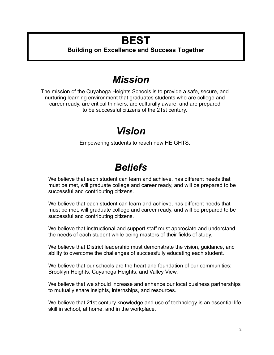# **BEST**

## **Building on Excellence and Success Together**

# *Mission*

The mission of the Cuyahoga Heights Schools is to provide a safe, secure, and nurturing learning environment that graduates students who are college and career ready, are critical thinkers, are culturally aware, and are prepared to be successful citizens of the 21st century.

## *Vision*

Empowering students to reach new HEIGHTS.

# *Beliefs*

We believe that each student can learn and achieve, has different needs that must be met, will graduate college and career ready, and will be prepared to be successful and contributing citizens.

We believe that each student can learn and achieve, has different needs that must be met, will graduate college and career ready, and will be prepared to be successful and contributing citizens.

We believe that instructional and support staff must appreciate and understand the needs of each student while being masters of their fields of study.

We believe that District leadership must demonstrate the vision, guidance, and ability to overcome the challenges of successfully educating each student.

We believe that our schools are the heart and foundation of our communities: Brooklyn Heights, Cuyahoga Heights, and Valley View.

We believe that we should increase and enhance our local business partnerships to mutually share insights, internships, and resources.

We believe that 21st century knowledge and use of technology is an essential life skill in school, at home, and in the workplace.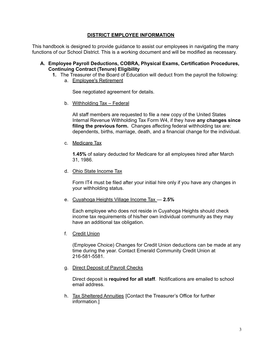## **DISTRICT EMPLOYEE INFORMATION**

This handbook is designed to provide guidance to assist our employees in navigating the many functions of our School District. This is a working document and will be modified as necessary.

#### **A. Employee Payroll Deductions, COBRA, Physical Exams, Certification Procedures, Continuing Contract (Tenure) Eligibility**

- **1.** The Treasurer of the Board of Education will deduct from the payroll the following:
	- a. Employee's Retirement

See negotiated agreement for details.

b. Withholding Tax – Federal

All staff members are requested to file a new copy of the United States Internal Revenue Withholding Tax Form W4, if they have **any changes since filing the previous form.** Changes affecting federal withholding tax are: dependents, births, marriage, death, and a financial change for the individual.

c. Medicare Tax

**1.45%** of salary deducted for Medicare for all employees hired after March 31, 1986.

d. Ohio State Income Tax

Form IT4 must be filed after your initial hire only if you have any changes in your withholding status.

e. Cuyahoga Heights Village Income Tax — **2.5%**

Each employee who does not reside in Cuyahoga Heights should check income tax requirements of his/her own individual community as they may have an additional tax obligation.

f. Credit Union

(Employee Choice) Changes for Credit Union deductions can be made at any time during the year. Contact Emerald Community Credit Union at 216-581-5581.

g. Direct Deposit of Payroll Checks

Direct deposit is **required for all staff**. Notifications are emailed to school email address.

h. Tax Sheltered Annuities [Contact the Treasurer's Office for further information.]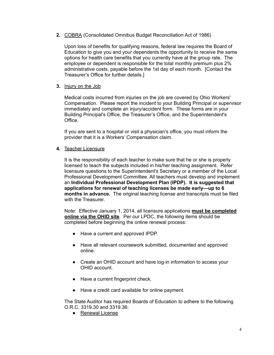**2.** COBRA (Consolidated Omnibus Budget Reconciliation Act of 1986)

Upon loss of benefits for qualifying reasons, federal law requires the Board of Education to give you and your dependents the opportunity to receive the same options for health care benefits that you currently have at the group rate. The employee or dependent is responsible for the total monthly premium plus 2% administrative costs, payable before the 1st day of each month. [Contact the Treasurer's Office for further details.]

**3.** Injury on the Job

Medical costs incurred from injuries on the job are covered by Ohio Workers' Compensation. Please report the incident to your Building Principal or supervisor immediately and complete an injury/accident form. These forms are in your Building Principal's Office, the Treasurer's Office, and the Superintendent's Office.

If you are sent to a hospital or visit a physician's office, you must inform the provider that it is a Workers' Compensation claim.

**4.** Teacher Licensure

It is the responsibility of each teacher to make sure that he or she is properly licensed to teach the subjects included in his/her teaching assignment. Refer licensure questions to the Superintendent's Secretary or a member of the Local Professional Development Committee. All teachers must develop and implement an **Individual Professional Development Plan (IPDP). It is suggested that applications for renewal of teaching licenses be made early—up to 6 months in advance.** The original teaching license and transcripts must be filed with the Treasurer.

Note: Effective January 1, 2014, all licensure applications **must be completed online via the OHID site**. Per our LPDC, the following items should be completed before beginning the online renewal process:

- Have a current and approved IPDP.
- Have all relevant coursework submitted, documented and approved online.
- Create an OHID account and have log-in information to access your OHID account.
- Have a current fingerprint check.
- Have a credit card available for online payment.

The State Auditor has required Boards of Education to adhere to the following O.R.C. 3319.30 and 3319.36:

● Renewal License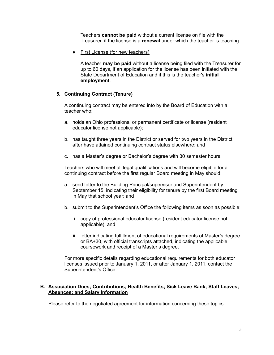Teachers **cannot be paid** without a current license on file with the Treasurer, if the license is a **renewal** under which the teacher is teaching.

• First License (for new teachers)

A teacher **may be paid** without a license being filed with the Treasurer for up to 60 days, if an application for the license has been initiated with the State Department of Education and if this is the teacher's **initial employment**.

## **5. Continuing Contract (Tenure)**

A continuing contract may be entered into by the Board of Education with a teacher who:

- a. holds an Ohio professional or permanent certificate or license (resident educator license not applicable);
- b. has taught three years in the District or served for two years in the District after have attained continuing contract status elsewhere; and
- c. has a Master's degree or Bachelor's degree with 30 semester hours.

Teachers who will meet all legal qualifications and will become eligible for a continuing contract before the first regular Board meeting in May should:

- a. send letter to the Building Principal/supervisor and Superintendent by September 15, indicating their eligibility for tenure by the first Board meeting in May that school year; and
- b. submit to the Superintendent's Office the following items as soon as possible:
	- i. copy of professional educator license (resident educator license not applicable); and
	- ii. letter indicating fulfillment of educational requirements of Master's degree or BA+30, with official transcripts attached, indicating the applicable coursework and receipt of a Master's degree.

For more specific details regarding educational requirements for both educator licenses issued prior to January 1, 2011, or after January 1, 2011, contact the Superintendent's Office.

## **B. Association Dues; Contributions; Health Benefits; Sick Leave Bank; Staff Leaves; Absences; and Salary Information**

Please refer to the negotiated agreement for information concerning these topics.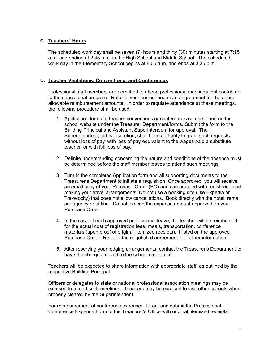## **C. Teachers' Hours**

The scheduled work day shall be seven (7) hours and thirty (30) minutes starting at 7:15 a.m. and ending at 2:45 p.m. in the High School and Middle School. The scheduled work day in the Elementary School begins at 8:05 a.m. and ends at 3:35 p.m.

## **D. Teacher Visitations, Conventions, and Conferences**

Professional staff members are permitted to attend professional meetings that contribute to the educational program. Refer to your current negotiated agreement for the annual allowable reimbursement amounts. In order to regulate attendance at these meetings, the following procedure shall be used:

- 1. Application forms to teacher conventions or conferences can be found on the school website under the Treasurer Department/forms. Submit the form to the Building Principal and Assistant Superintendent for approval. The Superintendent, at his discretion, shall have authority to grant such requests without loss of pay, with loss of pay equivalent to the wages paid a substitute teacher, or with full loss of pay.
- 2. Definite understanding concerning the nature and conditions of the absence must be determined before the staff member leaves to attend such meetings.
- 3. Turn in the completed Application form and all supporting documents to the Treasurer's Department to initiate a requisition. Once approved, you will receive an email copy of your Purchase Order (PO) and can proceed with registering and making your travel arrangements. Do not use a booking site (like Expedia or Travelocity) that does not allow cancellations. Book directly with the hotel, rental car agency or airline. Do not exceed the expense amount approved on your Purchase Order.
- 4. In the case of each approved professional leave, the teacher will be reimbursed for the actual cost of registration fees, meals, transportation, conference materials (upon proof of original, itemized receipts), if listed on the approved Purchase Order. Refer to the negotiated agreement for further information.
- 5. After reserving your lodging arrangements, contact the Treasurer's Department to have the charges moved to the school credit card.

Teachers will be expected to share information with appropriate staff, as outlined by the respective Building Principal.

Officers or delegates to state or national professional association meetings may be excused to attend such meetings. Teachers may be excused to visit other schools when properly cleared by the Superintendent.

For reimbursement of conference expenses, fill out and submit the Professional Conference Expense Form to the Treasurer's Office with original, itemized receipts.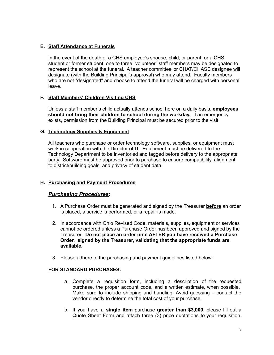## **E. Staff Attendance at Funerals**

In the event of the death of a CHS employee's spouse, child, or parent, or a CHS student or former student, one to three "volunteer" staff members may be designated to represent the school at the funeral. A teacher committee or CHAT/CHASE designee will designate (with the Building Principal's approval) who may attend. Faculty members who are not "designated" and choose to attend the funeral will be charged with personal leave.

## **F. Staff Members' Children Visiting CHS**

Unless a staff member's child actually attends school here on a daily basis**, employees should not bring their children to school during the workday.** If an emergency exists, permission from the Building Principal must be secured prior to the visit.

## **G. Technology Supplies & Equipment**

All teachers who purchase or order technology software, supplies, or equipment must work in cooperation with the Director of IT. Equipment must be delivered to the Technology Department to be inventoried and tagged before delivery to the appropriate party. Software must be approved prior to purchase to ensure compatibility, alignment to district/building goals, and privacy of student data.

## **H. Purchasing and Payment Procedures**

## *Purchasing Procedures***:**

- 1. A Purchase Order must be generated and signed by the Treasurer **before** an order is placed, a service is performed, or a repair is made.
- 2. In accordance with Ohio Revised Code, materials, supplies, equipment or services cannot be ordered unless a Purchase Order has been approved and signed by the Treasurer. **Do not place an order until AFTER you have received a Purchase Order, signed by the Treasurer, validating that the appropriate funds are available.**
- 3. Please adhere to the purchasing and payment guidelines listed below:

## **FOR STANDARD PURCHASES:**

- a. Complete a requisition form, including a description of the requested purchase, the proper account code, and a written estimate, when possible. Make sure to include shipping and handling. Avoid guessing – contact the vendor directly to determine the total cost of your purchase.
- b. If you have a **single item** purchase **greater than \$3,000**, please fill out a Quote Sheet Form and attach three (3) price quotations to your requisition.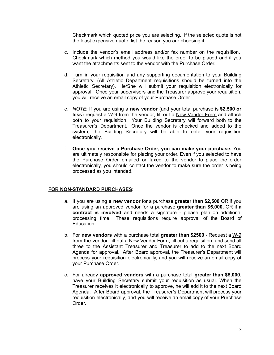Checkmark which quoted price you are selecting. If the selected quote is not the least expensive quote, list the reason you are choosing it.

- c. Include the vendor's email address and/or fax number on the requisition. Checkmark which method you would like the order to be placed and if you want the attachments sent to the vendor with the Purchase Order.
- d. Turn in your requisition and any supporting documentation to your Building Secretary. (All Athletic Department requisitions should be turned into the Athletic Secretary). He/She will submit your requisition electronically for approval. Once your supervisors and the Treasurer approve your requisition, you will receive an email copy of your Purchase Order.
- e. *NOTE*: If you are using a **new vendor** (and your total purchase is **\$2,500 or** less) request a W-9 from the vendor, fill out a New Vendor Form and attach both to your requisition. Your Building Secretary will forward both to the Treasurer's Department. Once the vendor is checked and added to the system, the Building Secretary will be able to enter your requisition electronically.
- f. **Once you receive a Purchase Order, you can make your purchase.** You are ultimately responsible for placing your order. Even if you selected to have the Purchase Order emailed or faxed to the vendor to place the order electronically, you should contact the vendor to make sure the order is being processed as you intended.

#### **FOR NON-STANDARD PURCHASES:**

- a. If you are using **a new vendor** for a purchase **greater than \$2,500** OR if you are using an approved vendor for a purchase **greater than \$5,000**, OR if **a contract is involved** and needs a signature - please plan on additional processing time. These requisitions require approval of the Board of Education.
- b. For **new vendors** with a purchase total **greater than \$2500** Request a W-9 from the vendor, fill out a New Vendor Form, fill out a requisition, and send all three to the Assistant Treasurer and Treasurer to add to the next Board Agenda for approval. After Board approval, the Treasurer's Department will process your requisition electronically, and you will receive an email copy of your Purchase Order.
- c. For already **approved vendors** with a purchase total **greater than \$5,000**, have your Building Secretary submit your requisition as usual. When the Treasurer receives it electronically to approve, he will add it to the next Board Agenda. After Board approval, the Treasurer's Department will process your requisition electronically, and you will receive an email copy of your Purchase Order.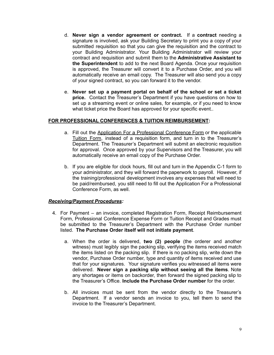- d. **Never sign a vendor agreement or contract.** If a **contract** needing a signature is involved, ask your Building Secretary to print you a copy of your submitted requisition so that you can give the requisition and the contract to your Building Administrator. Your Building Administrator will review your contract and requisition and submit them to the **Administrative Assistant to the Superintendent** to add to the next Board Agenda. Once your requisition is approved, the Treasurer will convert it to a Purchase Order, and you will automatically receive an email copy. The Treasurer will also send you a copy of your signed contract, so you can forward it to the vendor.
- e. **Never set up a payment portal on behalf of the school or set a ticket price.** Contact the Treasurer's Department if you have questions on how to set up a streaming event or online sales, for example, or if you need to know what ticket price the Board has approved for your specific event..

#### **FOR PROFESSIONAL CONFERENCES & TUITION REIMBURSEMENT:**

- a. Fill out the Application For a Professional Conference Form or the applicable Tuition Form, instead of a requisition form, and turn in to the Treasurer's Department. The Treasurer's Department will submit an electronic requisition for approval. Once approved by your Supervisors and the Treasurer, you will automatically receive an email copy of the Purchase Order.
- b. If you are eligible for clock hours, fill out and turn in the Appendix C-1 form to your administrator, and they will forward the paperwork to payroll. However, if the training/professional development involves any expenses that will need to be paid/reimbursed, you still need to fill out the Application For a Professional Conference Form, as well.

#### *Receiving/Payment Procedures:*

- 4. For Payment an invoice, completed Registration Form, Receipt Reimbursement Form, Professional Conference Expense Form or Tuition Receipt and Grades must be submitted to the Treasurer's Department with the Purchase Order number listed. **The Purchase Order itself will not initiate payment**.
	- a. When the order is delivered, **two (2) people** (the orderer and another witness) must legibly sign the packing slip, verifying the items received match the items listed on the packing slip. If there is no packing slip, write down the vendor, Purchase Order number, type and quantity of items received and use that for your signatures. Your signature verifies you witnessed all items were delivered. **Never sign a packing slip without seeing all the items**. Note any shortages or items on backorder, then forward the signed packing slip to the Treasurer's Office. **Include the Purchase Order number** for the order.
	- b. All invoices must be sent from the vendor directly to the Treasurer's Department. If a vendor sends an invoice to you, tell them to send the invoice to the Treasurer's Department.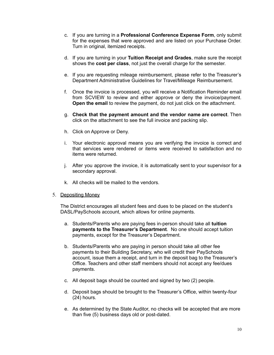- c. If you are turning in a **Professional Conference Expense Form**, only submit for the expenses that were approved and are listed on your Purchase Order. Turn in original, itemized receipts.
- d. If you are turning in your **Tuition Receipt and Grades**, make sure the receipt shows the **cost per class**, not just the overall charge for the semester.
- e. If you are requesting mileage reimbursement, please refer to the Treasurer's Department Administrative Guidelines for Travel/Mileage Reimbursement.
- f. Once the invoice is processed, you will receive a Notification Reminder email from SCVIEW to review and either approve or deny the invoice/payment. **Open the email** to review the payment, do not just click on the attachment.
- g. **Check that the payment amount and the vendor name are correct**. Then click on the attachment to see the full invoice and packing slip.
- h. Click on Approve or Deny.
- i. Your electronic approval means you are verifying the invoice is correct and that services were rendered or items were received to satisfaction and no items were returned.
- j. After you approve the invoice, it is automatically sent to your supervisor for a secondary approval.
- k. All checks will be mailed to the vendors.
- 5. Depositing Money

The District encourages all student fees and dues to be placed on the student's DASL/PaySchools account, which allows for online payments.

- a. Students/Parents who are paying fees in-person should take all **tuition payments to the Treasurer's Department**. No one should accept tuition payments, except for the Treasurer's Department.
- b. Students/Parents who are paying in person should take all other fee payments to their Building Secretary, who will credit their PaySchools account, issue them a receipt, and turn in the deposit bag to the Treasurer's Office. Teachers and other staff members should not accept any fee/dues payments.
- c. All deposit bags should be counted and signed by two (2) people.
- d. Deposit bags should be brought to the Treasurer's Office, within twenty-four (24) hours.
- e. As determined by the State Auditor, no checks will be accepted that are more than five (5) business days old or post-dated.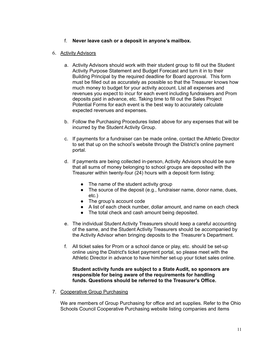## f. **Never leave cash or a deposit in anyone's mailbox.**

## 6. Activity Advisors

- a. Activity Advisors should work with their student group to fill out the Student Activity Purpose Statement and Budget Forecast and turn it in to their Building Principal by the required deadline for Board approval. This form must be filled out as accurately as possible so that the Treasurer knows how much money to budget for your activity account. List all expenses and revenues you expect to incur for each event including fundraisers and Prom deposits paid in advance, etc. Taking time to fill out the Sales Project Potential Forms for each event is the best way to accurately calculate expected revenues and expenses.
- b. Follow the Purchasing Procedures listed above for any expenses that will be incurred by the Student Activity Group.
- c. If payments for a fundraiser can be made online, contact the Athletic Director to set that up on the school's website through the District's online payment portal.
- d. If payments are being collected in-person, Activity Advisors should be sure that all sums of money belonging to school groups are deposited with the Treasurer within twenty-four (24) hours with a deposit form listing:
	- The name of the student activity group
	- The source of the deposit (e.g., fundraiser name, donor name, dues, etc.)
	- The group's account code
	- A list of each check number, dollar amount, and name on each check
	- The total check and cash amount being deposited.
- e. The individual Student Activity Treasurers should keep a careful accounting of the same, and the Student Activity Treasurers should be accompanied by the Activity Advisor when bringing deposits to the Treasurer's Department.
- f. All ticket sales for Prom or a school dance or play, etc. should be set-up online using the District's ticket payment portal, so please meet with the Athletic Director in advance to have him/her set-up your ticket sales online.

#### **Student activity funds are subject to a State Audit, so sponsors are responsible for being aware of the requirements for handling funds. Questions should be referred to the Treasurer's Office.**

7. Cooperative Group Purchasing

We are members of Group Purchasing for office and art supplies. Refer to the Ohio Schools Council Cooperative Purchasing website listing companies and items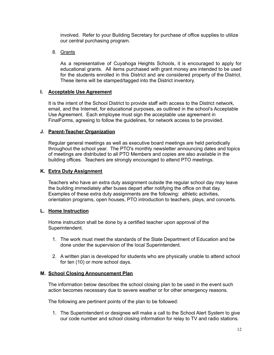involved. Refer to your Building Secretary for purchase of office supplies to utilize our central purchasing program.

8. Grants

As a representative of Cuyahoga Heights Schools, it is encouraged to apply for educational grants. All items purchased with grant money are intended to be used for the students enrolled in this District and are considered property of the District. These items will be stamped/tagged into the District inventory.

## **I. Acceptable Use Agreement**

It is the intent of the School District to provide staff with access to the District network, email, and the Internet, for educational purposes, as outlined in the school's Acceptable Use Agreement. Each employee must sign the acceptable use agreement in FinalForms, agreeing to follow the guidelines, for network access to be provided.

## **J. Parent-Teacher Organization**

Regular general meetings as well as executive board meetings are held periodically throughout the school year. The PTO's monthly newsletter announcing dates and topics of meetings are distributed to all PTO Members and copies are also available in the building offices. Teachers are strongly encouraged to attend PTO meetings.

## **K. Extra Duty Assignment**

Teachers who have an extra duty assignment outside the regular school day may leave the building immediately after buses depart after notifying the office on that day. Examples of these extra duty assignments are the following: athletic activities, orientation programs, open houses, PTO introduction to teachers, plays, and concerts.

## **L. Home Instruction**

Home instruction shall be done by a certified teacher upon approval of the Superintendent.

- 1. The work must meet the standards of the State Department of Education and be done under the supervision of the local Superintendent.
- 2. A written plan is developed for students who are physically unable to attend school for ten (10) or more school days.

## **M. School Closing Announcement Plan**

The information below describes the school closing plan to be used in the event such action becomes necessary due to severe weather or for other emergency reasons.

The following are pertinent points of the plan to be followed:

1. The Superintendent or designee will make a call to the School Alert System to give our code number and school closing information for relay to TV and radio stations.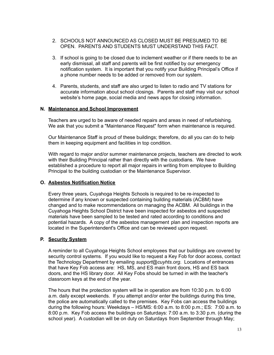- 2. SCHOOLS NOT ANNOUNCED AS CLOSED MUST BE PRESUMED TO BE OPEN. PARENTS AND STUDENTS MUST UNDERSTAND THIS FACT.
- 3. If school is going to be closed due to inclement weather or if there needs to be an early dismissal, all staff and parents will be first notified by our emergency notification system. It is important that you notify your Building Principal's Office if a phone number needs to be added or removed from our system.
- 4. Parents, students, and staff are also urged to listen to radio and TV stations for accurate information about school closings. Parents and staff may visit our school website's home page, social media and news apps for closing information.

#### **N. Maintenance and School Improvement**

Teachers are urged to be aware of needed repairs and areas in need of refurbishing. We ask that you submit a "Maintenance Request" form when maintenance is required.

Our Maintenance Staff is proud of these buildings; therefore, do all you can do to help them in keeping equipment and facilities in top condition.

With regard to major and/or summer maintenance projects, teachers are directed to work with their Building Principal rather than directly with the custodians. We have established a procedure to report all major repairs in writing from employee to Building Principal to the building custodian or the Maintenance Supervisor.

## **O. Asbestos Notification Notice**

Every three years, Cuyahoga Heights Schools is required to be re-inspected to determine if any known or suspected containing building materials (ACBM) have changed and to make recommendations on managing the ACBM. All buildings in the Cuyahoga Heights School District have been inspected for asbestos and suspected materials have been sampled to be tested and rated according to conditions and potential hazards. A copy of the asbestos management plan and inspection reports are located in the Superintendent's Office and can be reviewed upon request.

## **P. Security System**

A reminder to all Cuyahoga Heights School employees that our buildings are covered by security control systems. If you would like to request a Key Fob for door access, contact the Technology Department by emailing *support@cuyhts.org*. Locations of entrances that have Key Fob access are: HS, MS, and ES main front doors, HS and ES back doors, and the HS library door. All Key Fobs should be turned in with the teacher's classroom keys at the end of the year.

The hours that the protection system will be in operation are from 10:30 p.m. to 6:00 a.m. daily except weekends. If you attempt and/or enter the buildings during this time, the police are automatically called to the premises. Key Fobs can access the buildings during the following hours: Weekdays – HS/MS: 6:00 a.m. to 8:00 p.m.; ES: 7:00 a.m. to 8:00 p.m. Key Fob access the buildings on Saturdays: 7:00 a.m. to 3:30 p.m. (during the school year). A custodian will be on duty on Saturdays from September through May;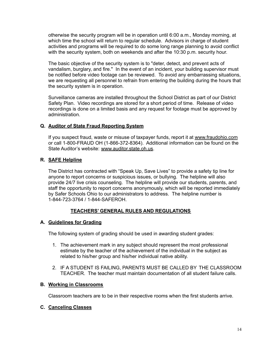otherwise the security program will be in operation until 6:00 a.m., Monday morning, at which time the school will return to regular schedule. Advisors in charge of student activities and programs will be required to do some long range planning to avoid conflict with the security system, both on weekends and after the 10:30 p.m. security hour.

The basic objective of the security system is to "deter, detect, and prevent acts of vandalism, burglary, and fire." In the event of an incident, your building supervisor must be notified before video footage can be reviewed. To avoid any embarrassing situations, we are requesting all personnel to refrain from entering the building during the hours that the security system is in operation.

Surveillance cameras are installed throughout the School District as part of our District Safety Plan. Video recordings are stored for a short period of time. Release of video recordings is done on a limited basis and any request for footage must be approved by administration.

## **Q. Auditor of State Fraud Reporting System**

If you suspect fraud, waste or misuse of taxpayer funds, report it at [www.fraudohio.com](http://www.fraudohio.com) or call 1-800-FRAUD OH (1-866-372-8364). Additional information can be found on the State Auditor's website: [www.auditor.state.oh.us](http://www.auditor.state.oh.us).

## **R. SAFE Helpline**

The District has contracted with "Speak Up, Save Lives" to provide a safety tip line for anyone to report concerns or suspicious issues, or bullying. The helpline will also provide 24/7 live crisis counseling. The helpline will provide our students, parents, and staff the opportunity to report concerns anonymously, which will be reported immediately by Safer Schools Ohio to our administrators to address. The helpline number is 1-844-723-3764 / 1-844-SAFEROH.

## **TEACHERS' GENERAL RULES AND REGULATIONS**

## **A. Guidelines for Grading**

The following system of grading should be used in awarding student grades:

- 1. The achievement mark in any subject should represent the most professional estimate by the teacher of the achievement of the individual in the subject as related to his/her group and his/her individual native ability.
- 2. IF A STUDENT IS FAILING, PARENTS MUST BE CALLED BY THE CLASSROOM TEACHER. The teacher must maintain documentation of all student failure calls.

## **B. Working in Classrooms**

Classroom teachers are to be in their respective rooms when the first students arrive.

## **C. Canceling Classes**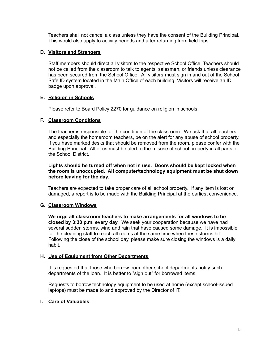Teachers shall not cancel a class unless they have the consent of the Building Principal. This would also apply to activity periods and after returning from field trips.

## **D. Visitors and Strangers**

Staff members should direct all visitors to the respective School Office. Teachers should not be called from the classroom to talk to agents, salesmen, or friends unless clearance has been secured from the School Office. All visitors must sign in and out of the School Safe ID system located in the Main Office of each building. Visitors will receive an ID badge upon approval.

#### **E. Religion in Schools**

Please refer to Board Policy 2270 for guidance on religion in schools.

#### **F. Classroom Conditions**

The teacher is responsible for the condition of the classroom. We ask that all teachers, and especially the homeroom teachers, be on the alert for any abuse of school property. If you have marked desks that should be removed from the room, please confer with the Building Principal. All of us must be alert to the misuse of school property in all parts of the School District.

#### **Lights should be turned off when not in use. Doors should be kept locked when the room is unoccupied. All computer/technology equipment must be shut down before leaving for the day.**

Teachers are expected to take proper care of all school property. If any item is lost or damaged, a report is to be made with the Building Principal at the earliest convenience.

#### **G. Classroom Windows**

**We urge all classroom teachers to make arrangements for all windows to be closed by 3:30 p.m. every day.** We seek your cooperation because we have had several sudden storms, wind and rain that have caused some damage. It is impossible for the cleaning staff to reach all rooms at the same time when these storms hit. Following the close of the school day, please make sure closing the windows is a daily habit.

#### **H. Use of Equipment from Other Departments**

It is requested that those who borrow from other school departments notify such departments of the loan. It is better to "sign out" for borrowed items.

Requests to borrow technology equipment to be used at home (except school-issued laptops) must be made to and approved by the Director of IT.

## **I. Care of Valuables**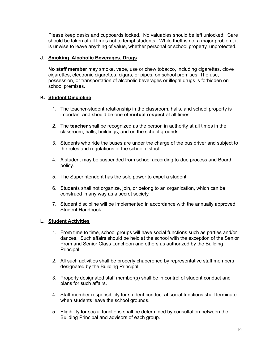Please keep desks and cupboards locked. No valuables should be left unlocked. Care should be taken at all times not to tempt students. While theft is not a major problem, it is unwise to leave anything of value, whether personal or school property, unprotected.

## **J. Smoking, Alcoholic Beverages, Drugs**

**No staff member** may smoke, vape, use or chew tobacco, including cigarettes, clove cigarettes, electronic cigarettes, cigars, or pipes, on school premises. The use, possession, or transportation of alcoholic beverages or illegal drugs is forbidden on school premises.

#### **K. Student Discipline**

- 1. The teacher-student relationship in the classroom, halls, and school property is important and should be one of **mutual respect** at all times.
- 2. The **teacher** shall be recognized as the person in authority at all times in the classroom, halls, buildings, and on the school grounds.
- 3. Students who ride the buses are under the charge of the bus driver and subject to the rules and regulations of the school district.
- 4. A student may be suspended from school according to due process and Board policy.
- 5. The Superintendent has the sole power to expel a student.
- 6. Students shall not organize, join, or belong to an organization, which can be construed in any way as a secret society.
- 7. Student discipline will be implemented in accordance with the annually approved Student Handbook.

## **L. Student Activities**

- 1. From time to time, school groups will have social functions such as parties and/or dances. Such affairs should be held at the school with the exception of the Senior Prom and Senior Class Luncheon and others as authorized by the Building Principal.
- 2. All such activities shall be properly chaperoned by representative staff members designated by the Building Principal.
- 3. Properly designated staff member(s) shall be in control of student conduct and plans for such affairs.
- 4. Staff member responsibility for student conduct at social functions shall terminate when students leave the school grounds.
- 5. Eligibility for social functions shall be determined by consultation between the Building Principal and advisors of each group.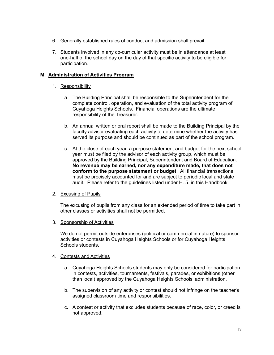- 6. Generally established rules of conduct and admission shall prevail.
- 7. Students involved in any co-curricular activity must be in attendance at least one-half of the school day on the day of that specific activity to be eligible for participation.

## **M. Administration of Activities Program**

## 1. Responsibility

- a. The Building Principal shall be responsible to the Superintendent for the complete control, operation, and evaluation of the total activity program of Cuyahoga Heights Schools. Financial operations are the ultimate responsibility of the Treasurer.
- b. An annual written or oral report shall be made to the Building Principal by the faculty advisor evaluating each activity to determine whether the activity has served its purpose and should be continued as part of the school program.
- c. At the close of each year, a purpose statement and budget for the next school year must be filed by the advisor of each activity group, which must be approved by the Building Principal, Superintendent and Board of Education. **No revenue may be earned, nor any expenditure made, that does not conform to the purpose statement or budget**. All financial transactions must be precisely accounted for and are subject to periodic local and state audit. Please refer to the guidelines listed under H. 5. in this Handbook.

## 2. Excusing of Pupils

The excusing of pupils from any class for an extended period of time to take part in other classes or activities shall not be permitted.

3. Sponsorship of Activities

We do not permit outside enterprises (political or commercial in nature) to sponsor activities or contests in Cuyahoga Heights Schools or for Cuyahoga Heights Schools students.

## 4. Contests and Activities

- a. Cuyahoga Heights Schools students may only be considered for participation in contests, activities, tournaments, festivals, parades, or exhibitions (other than local) approved by the Cuyahoga Heights Schools' administration.
- b. The supervision of any activity or contest should not infringe on the teacher's assigned classroom time and responsibilities.
- c. A contest or activity that excludes students because of race, color, or creed is not approved.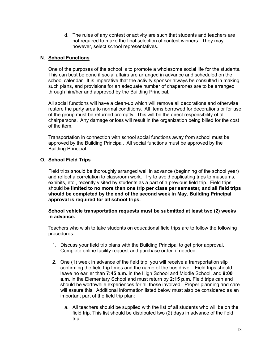d. The rules of any contest or activity are such that students and teachers are not required to make the final selection of contest winners. They may, however, select school representatives.

## **N. School Functions**

One of the purposes of the school is to promote a wholesome social life for the students. This can best be done if social affairs are arranged in advance and scheduled on the school calendar. It is imperative that the activity sponsor always be consulted in making such plans, and provisions for an adequate number of chaperones are to be arranged through him/her and approved by the Building Principal.

All social functions will have a clean-up which will remove all decorations and otherwise restore the party area to normal conditions. All items borrowed for decorations or for use of the group must be returned promptly. This will be the direct responsibility of all chairpersons. Any damage or loss will result in the organization being billed for the cost of the item.

Transportation in connection with school social functions away from school must be approved by the Building Principal. All social functions must be approved by the Building Principal.

## **O. School Field Trips**

Field trips should be thoroughly arranged well in advance (beginning of the school year) and reflect a correlation to classroom work. Try to avoid duplicating trips to museums, exhibits, etc., recently visited by students as a part of a previous field trip. Field trips should be **limited to no more than one trip per class per semester, and all field trips should be completed by the end of the second week in May**. **Building Principal approval is required for all school trips.**

#### **School vehicle transportation requests must be submitted at least two (2) weeks in advance.**

Teachers who wish to take students on educational field trips are to follow the following procedures:

- 1. Discuss your field trip plans with the Building Principal to get prior approval. Complete online facility request and purchase order, if needed.
- 2. One (1) week in advance of the field trip, you will receive a transportation slip confirming the field trip times and the name of the bus driver. Field trips should leave no earlier than **7:45 a.m.** in the High School and Middle School, and **9:00 a.m**. in the Elementary School and must return by **2:15 p.m.** Field trips can and should be worthwhile experiences for all those involved. Proper planning and care will assure this. Additional information listed below must also be considered as an important part of the field trip plan:
	- a. All teachers should be supplied with the list of all students who will be on the field trip. This list should be distributed two (2) days in advance of the field trip.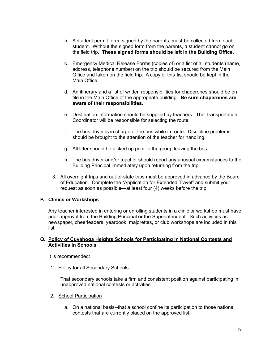- b. A student permit form, signed by the parents, must be collected from each student. Without the signed form from the parents, a student cannot go on the field trip. **These signed forms should be left in the Building Office.**
- c. Emergency Medical Release Forms (copies of) or a list of all students (name, address, telephone number) on the trip should be secured from the Main Office and taken on the field trip. A copy of this list should be kept in the Main Office.
- d. An itinerary and a list of written responsibilities for chaperones should be on file in the Main Office of the appropriate building. **Be sure chaperones are aware of their responsibilities.**
- e. Destination information should be supplied by teachers. The Transportation Coordinator will be responsible for selecting the route.
- f. The bus driver is in charge of the bus while in route. Discipline problems should be brought to the attention of the teacher for handling.
- g. All litter should be picked up prior to the group leaving the bus.
- h. The bus driver and/or teacher should report any unusual circumstances to the Building Principal immediately upon returning from the trip.
- 3. All overnight trips and out-of-state trips must be approved in advance by the Board of Education. Complete the "Application for Extended Travel" and submit your request as soon as possible—at least four (4) weeks before the trip.

## **P. Clinics or Workshops**

Any teacher interested in entering or enrolling students in a clinic or workshop must have prior approval from the Building Principal or the Superintendent. Such activities as newspaper, cheerleaders, yearbook, majorettes, or club workshops are included in this list.

## **Q. Policy of Cuyahoga Heights Schools for Participating in National Contests and Activities in Schools**

It is recommended:

1. Policy for all Secondary Schools

That secondary schools take a firm and consistent position against participating in unapproved national contests or activities.

- 2. School Participation
	- a. On a national basis--that a school confine its participation to those national contests that are currently placed on the approved list.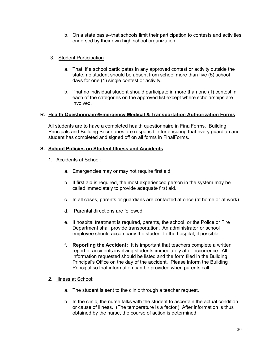b. On a state basis--that schools limit their participation to contests and activities endorsed by their own high school organization.

## 3. Student Participation

- a. That, if a school participates in any approved contest or activity outside the state, no student should be absent from school more than five (5) school days for one (1) single contest or activity.
- b. That no individual student should participate in more than one (1) contest in each of the categories on the approved list except where scholarships are involved.

## **R. Health Questionnaire/Emergency Medical & Transportation Authorization Forms**

All students are to have a completed health questionnaire in FinalForms. Building Principals and Building Secretaries are responsible for ensuring that every guardian and student has completed and signed off on all forms in FinalForms.

#### **S. School Policies on Student Illness and Accidents**

- 1. Accidents at School:
	- a. Emergencies may or may not require first aid.
	- b. If first aid is required, the most experienced person in the system may be called immediately to provide adequate first aid.
	- c. In all cases, parents or guardians are contacted at once (at home or at work).
	- d. Parental directions are followed.
	- e. If hospital treatment is required, parents, the school, or the Police or Fire Department shall provide transportation. An administrator or school employee should accompany the student to the hospital, if possible.
	- f. **Reporting the Accident:** It is important that teachers complete a written report of accidents involving students immediately after occurrence. All information requested should be listed and the form filed in the Building Principal's Office on the day of the accident. Please inform the Building Principal so that information can be provided when parents call.
- 2. Illness at School:
	- a. The student is sent to the clinic through a teacher request.
	- b. In the clinic, the nurse talks with the student to ascertain the actual condition or cause of illness. (The temperature is a factor.) After information is thus obtained by the nurse, the course of action is determined.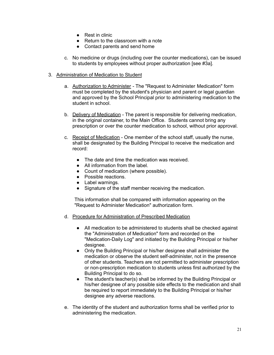- Rest in clinic
- Return to the classroom with a note
- Contact parents and send home
- c. No medicine or drugs (including over the counter medications), can be issued to students by employees without proper authorization [see #3a].
- 3. Administration of Medication to Student
	- a. Authorization to Administer The "Request to Administer Medication" form must be completed by the student's physician and parent or legal guardian and approved by the School Principal prior to administering medication to the student in school.
	- b. Delivery of Medication The parent is responsible for delivering medication, in the original container, to the Main Office. Students cannot bring any prescription or over the counter medication to school, without prior approval.
	- c. Receipt of Medication One member of the school staff, usually the nurse, shall be designated by the Building Principal to receive the medication and record:
		- The date and time the medication was received.
		- All information from the label.
		- Count of medication (where possible).
		- Possible reactions.
		- Label warnings.
		- Signature of the staff member receiving the medication.

This information shall be compared with information appearing on the "Request to Administer Medication" authorization form.

- d. Procedure for Administration of Prescribed Medication
	- All medication to be administered to students shall be checked against the "Administration of Medication" form and recorded on the "Medication-Daily Log" and initiated by the Building Principal or his/her designee.
	- Only the Building Principal or his/her designee shall administer the medication or observe the student self-administer, not in the presence of other students. Teachers are not permitted to administer prescription or non-prescription medication to students unless first authorized by the Building Principal to do so.
	- The student's teacher(s) shall be informed by the Building Principal or his/her designee of any possible side effects to the medication and shall be required to report immediately to the Building Principal or his/her designee any adverse reactions.
- e. The identity of the student and authorization forms shall be verified prior to administering the medication.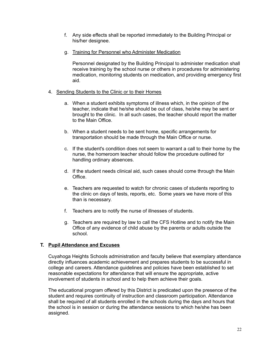- f. Any side effects shall be reported immediately to the Building Principal or his/her designee.
- g. Training for Personnel who Administer Medication

Personnel designated by the Building Principal to administer medication shall receive training by the school nurse or others in procedures for administering medication, monitoring students on medication, and providing emergency first aid.

#### 4. Sending Students to the Clinic or to their Homes

- a. When a student exhibits symptoms of illness which, in the opinion of the teacher, indicate that he/she should be out of class, he/she may be sent or brought to the clinic. In all such cases, the teacher should report the matter to the Main Office.
- b. When a student needs to be sent home, specific arrangements for transportation should be made through the Main Office or nurse.
- c. If the student's condition does not seem to warrant a call to their home by the nurse, the homeroom teacher should follow the procedure outlined for handling ordinary absences.
- d. If the student needs clinical aid, such cases should come through the Main **Office**
- e. Teachers are requested to watch for chronic cases of students reporting to the clinic on days of tests, reports, etc. Some years we have more of this than is necessary.
- f. Teachers are to notify the nurse of illnesses of students.
- g. Teachers are required by law to call the CFS Hotline and to notify the Main Office of any evidence of child abuse by the parents or adults outside the school.

## **T. Pupil Attendance and Excuses**

Cuyahoga Heights Schools administration and faculty believe that exemplary attendance directly influences academic achievement and prepares students to be successful in college and careers. Attendance guidelines and policies have been established to set reasonable expectations for attendance that will ensure the appropriate, active involvement of students in school and to help them achieve their goals.

The educational program offered by this District is predicated upon the presence of the student and requires continuity of instruction and classroom participation. Attendance shall be required of all students enrolled in the schools during the days and hours that the school is in session or during the attendance sessions to which he/she has been assigned.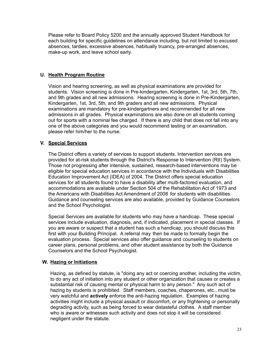Please refer to Board Policy 5200 and the annually approved Student Handbook for each building for specific guidelines on attendance including, but not limited to excused absences, tardies, excessive absences, habitually truancy, pre-arranged absences, make-up work, and leave school early.

## **U. Health Program Routine**

Vision and hearing screening, as well as physical examinations are provided for students. Vision screening is done in Pre-kindergarten, Kindergarten, 1st, 3rd, 5th, 7th, and 9th grades and all new admissions. Hearing screening is done in Pre-Kindergarten, Kindergarten, 1st, 3rd, 5th, and 9th graders and all new admissions. Physical examinations are mandatory for pre-kindergartners and recommended for all new admissions in all grades. Physical examinations are also done on all students coming out for sports with a nominal fee charged. If there is any child that does not fall into any one of the above categories and you would recommend testing or an examination, please refer him/her to the nurse.

## **V. Special Services**

The District offers a variety of services to support students. Intervention services are provided for at-risk students through the District's Response to Intervention (RtI) System. Those not progressing after intensive, sustained, research-based interventions may be eligible for special education services in accordance with the Individuals with Disabilities Education Improvement Act (IDEA) of 2004. The District offers special education services for all students found to have a disability after multi-factored evaluation, and accommodations are available under Section 504 of the Rehabilitation Act of 1973 and the Americans with Disabilities Act Amendment of 2008 for students with disabilities. Guidance and counseling services are also available, provided by Guidance Counselors and the School Psychologist.

Special Services are available for students who may have a handicap. These special services include evaluation, diagnosis, and, if indicated, placement in special classes. If you are aware or suspect that a student has such a handicap, you should discuss this first with your Building Principal. A referral may then be made to formally begin the evaluation process. Special services also offer guidance and counseling to students on career plans, personal problems, and other student assistance by both the Guidance Counselors and the School Psychologist.

## **W. Hazing or Initiations**

Hazing, as defined by statute, is "doing any act or coercing another, including the victim, to do any act of initiation into any student or other organization that causes or creates a substantial risk of causing mental or physical harm to any person." Any such act of hazing by students is prohibited. Staff members, coaches, chaperones, etc., must be very watchful and **actively** enforce the anti-hazing regulation. Examples of hazing activities might include a physical assault or discomfort, or any frightening or personally degrading activity, such as being forced to wear distasteful clothes. A staff member who is aware or witnesses such activity and does not stop it will be considered negligent under the statute.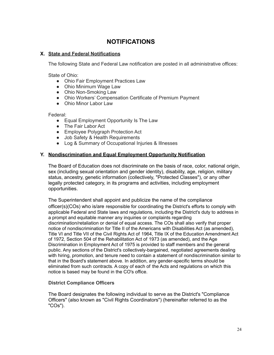## **NOTIFICATIONS**

## **X. State and Federal Notifications**

The following State and Federal Law notification are posted in all administrative offices:

State of Ohio:

- Ohio Fair Employment Practices Law
- Ohio Minimum Wage Law
- Ohio Non-Smoking Law
- Ohio Workers' Compensation Certificate of Premium Payment
- Ohio Minor Labor Law

Federal:

- Equal Employment Opportunity Is The Law
- The Fair Labor Act
- Employee Polygraph Protection Act
- Job Safety & Health Requirements
- Log & Summary of Occupational Injuries & Illnesses

## **Y. Nondiscrimination and Equal Employment Opportunity Notification**

The Board of Education does not discriminate on the basis of race, color, national origin, sex (including sexual orientation and gender identity), disability, age, religion, military status, ancestry, genetic information (collectively, "Protected Classes"), or any other legally protected category, in its programs and activities, including employment opportunities.

The Superintendent shall appoint and publicize the name of the compliance officer(s)(COs) who is/are responsible for coordinating the District's efforts to comply with applicable Federal and State laws and regulations, including the District's duty to address in a prompt and equitable manner any inquiries or complaints regarding discrimination/retaliation or denial of equal access. The COs shall also verify that proper notice of nondiscrimination for Title II of the Americans with Disabilities Act (as amended), Title VI and Title VII of the Civil Rights Act of 1964, Title IX of the Education Amendment Act of 1972, Section 504 of the Rehabilitation Act of 1973 (as amended), and the Age Discrimination in Employment Act of 1975 is provided to staff members and the general public. Any sections of the District's collectively-bargained, negotiated agreements dealing with hiring, promotion, and tenure need to contain a statement of nondiscrimination similar to that in the Board's statement above. In addition, any gender-specific terms should be eliminated from such contracts. A copy of each of the Acts and regulations on which this notice is based may be found in the CO's office.

## **District Compliance Officers**

The Board designates the following individual to serve as the District's "Compliance Officers" (also known as "Civil Rights Coordinators") (hereinafter referred to as the "COs").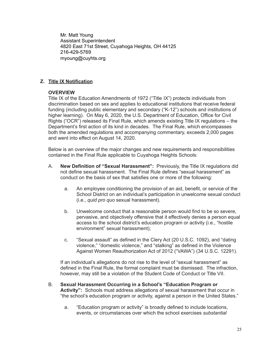Mr. Matt Young Assistant Superintendent 4820 East 71st Street, Cuyahoga Heights, OH 44125 216-429-5769 myoung@cuyhts.org

## **Z. Title IX Notification**

## **OVERVIEW**

Title IX of the Education Amendments of 1972 ("Title IX") protects individuals from discrimination based on sex and applies to educational institutions that receive federal funding (including public elementary and secondary ("K-12") schools and institutions of higher learning). On May 6, 2020, the U.S. Department of Education, Office for Civil Rights ("OCR") released its Final Rule, which amends existing Title IX regulations – the Department's first action of its kind in decades. The Final Rule, which encompasses both the amended regulations and accompanying commentary, exceeds 2,000 pages and went into effect on August 14, 2020.

Below is an overview of the major changes and new requirements and responsibilities contained in the Final Rule applicable to Cuyahoga Heights Schools:

- A. **New Definition of "Sexual Harassment":** Previously, the Title IX regulations did not define sexual harassment. The Final Rule defines "sexual harassment" as conduct on the basis of sex that satisfies one or more of the following:
	- a. An employee conditioning the provision of an aid, benefit, or service of the School District on an individual's participation in unwelcome sexual conduct (i.e., *quid pro quo* sexual harassment).
	- b. Unwelcome conduct that a reasonable person would find to be so severe, pervasive, and objectively offensive that it effectively denies a person equal access to the school district's education program or activity (i.e., "hostile environment" sexual harassment);
	- c. "Sexual assault" as defined in the Clery Act (20 U.S.C. 1092), and "dating violence," "domestic violence," and "stalking" as defined in the Violence Against Women Reauthorization Act of 2012 ("VAWA") (34 U.S.C. 12291).

If an individual's allegations do not rise to the level of "sexual harassment" as defined in the Final Rule, the formal complaint must be dismissed. The infraction, however, may still be a violation of the Student Code of Conduct or Title VII.

- B. **Sexual Harassment Occurring in a School's "Education Program or Activity":** Schools must address allegations of sexual harassment that occur in "the school's education program or activity, against a person in the United States."
	- a. "Education program or activity" is broadly defined to include locations, events, or circumstances over which the school exercises *substantial*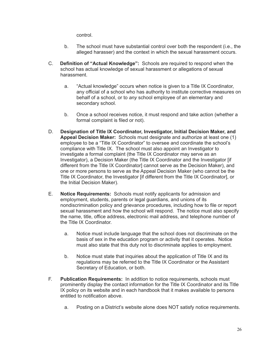control.

- b. The school must have substantial control over both the respondent (i.e., the alleged harasser) and the context in which the sexual harassment occurs.
- C. **Definition of "Actual Knowledge":** Schools are required to respond when the school has actual knowledge of sexual harassment or allegations of sexual harassment.
	- a. "Actual knowledge" occurs when notice is given to a Title IX Coordinator, any official of a school who has authority to institute corrective measures on behalf of a school, or to *any* school employee of an elementary and secondary school.
	- b. Once a school receives notice, it must respond and take action (whether a formal complaint is filed or not).
- D. **Designation of Title IX Coordinator, Investigator, Initial Decision Maker, and Appeal Decision Maker:** Schools must designate and authorize at least one (1) employee to be a "Title IX Coordinator" to oversee and coordinate the school's compliance with Title IX. The school must also appoint an Investigator to investigate a formal complaint (the Title IX Coordinator may serve as an Investigator), a Decision Maker (the Title IX Coordinator and the Investigator [if different from the Title IX Coordinator] cannot serve as the Decision Maker), and one or more persons to serve as the Appeal Decision Maker (who cannot be the Title IX Coordinator, the Investigator [if different from the Title IX Coordinator], or the Initial Decision Maker).
- E. **Notice Requirements:** Schools must notify applicants for admission and employment, students, parents or legal guardians, and unions of its nondiscrimination policy and grievance procedures, including how to file or report sexual harassment and how the school will respond. The notice must also specify the name, title, office address, electronic mail address, and telephone number of the Title IX Coordinator.
	- a. Notice must include language that the school does not discriminate on the basis of sex in the education program or activity that it operates. Notice must also state that this duty not to discriminate applies to employment.
	- b. Notice must state that inquiries about the application of Title IX and its regulations may be referred to the Title IX Coordinator or the Assistant Secretary of Education, or both.
- F. **Publication Requirements:** In addition to notice requirements, schools must prominently display the contact information for the Title IX Coordinator and its Title IX policy on its website and in each handbook that it makes available to persons entitled to notification above.
	- a. Posting on a District's website alone does NOT satisfy notice requirements.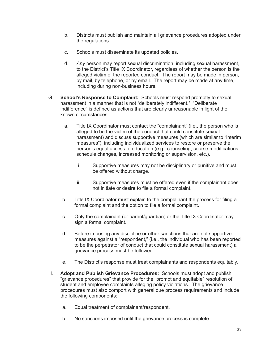- b. Districts must publish and maintain all grievance procedures adopted under the regulations.
- c. Schools must disseminate its updated policies.
- d. *Any* person may report sexual discrimination, including sexual harassment, to the District's Title IX Coordinator, regardless of whether the person is the alleged victim of the reported conduct. The report may be made in person, by mail, by telephone, or by email. The report may be made at any time, including during non-business hours.
- G. **School's Response to Complaint:** Schools must respond promptly to sexual harassment in a manner that is not "deliberately indifferent." "Deliberate indifference" is defined as actions that are clearly unreasonable in light of the known circumstances.
	- a. Title IX Coordinator must contact the "complainant" (i.e., the person who is alleged to be the victim of the conduct that could constitute sexual harassment) and discuss supportive measures (which are similar to "interim measures"), including individualized services to restore or preserve the person's equal access to education (e.g., counseling, course modifications, schedule changes, increased monitoring or supervision, etc.).
		- i. Supportive measures may not be disciplinary or punitive and must be offered without charge.
		- ii. Supportive measures must be offered even if the complainant does not initiate or desire to file a formal complaint.
	- b. Title IX Coordinator must explain to the complainant the process for filing a formal complaint and the option to file a formal complaint.
	- c. Only the complainant (or parent/guardian) or the Title IX Coordinator may sign a formal complaint.
	- d. Before imposing any discipline or other sanctions that are not supportive measures against a "respondent," (i.e., the individual who has been reported to be the perpetrator of conduct that could constitute sexual harassment) a grievance process must be followed.
	- e. The District's response must treat complainants and respondents equitably.
- H. **Adopt and Publish Grievance Procedures:** Schools must adopt and publish "grievance procedures" that provide for the "prompt and equitable" resolution of student and employee complaints alleging policy violations. The grievance procedures must also comport with general due process requirements and include the following components:
	- a. Equal treatment of complainant/respondent.
	- b. No sanctions imposed until the grievance process is complete.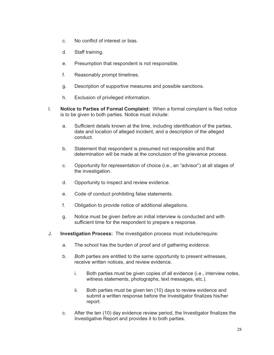- c. No conflict of interest or bias.
- d. Staff training.
- e. Presumption that respondent is not responsible.
- f. Reasonably prompt timelines.
- g. Description of supportive measures and possible sanctions.
- h. Exclusion of privileged information.
- I. **Notice to Parties of Formal Complaint:** When a formal complaint is filed notice is to be given to both parties. Notice must include:
	- a. Sufficient details known at the time, including identification of the parties, date and location of alleged incident, and a description of the alleged conduct.
	- b. Statement that respondent is presumed not responsible and that determination will be made at the conclusion of the grievance process.
	- c. Opportunity for representation of choice (i.e., an "advisor") at all stages of the investigation.
	- d. Opportunity to inspect and review evidence.
	- e. Code of conduct prohibiting false statements.
	- f. Obligation to provide notice of additional allegations.
	- g. Notice must be given *before* an initial interview is conducted and with sufficient time for the respondent to prepare a response.
- J. **Investigation Process:** The investigation process must include/require:
	- a. The school has the burden of proof and of gathering evidence.
	- b. *Both* parties are entitled to the same opportunity to present witnesses, receive written notices, and review evidence.
		- i. Both parties must be given copies of all evidence (i.e., interview notes, witness statements, photographs, text messages, etc.).
		- ii. Both parties must be given ten (10) days to review evidence and submit a written response before the Investigator finalizes his/her report.
	- c. After the ten (10) day evidence review period, the Investigator finalizes the Investigative Report and provides it to both parties.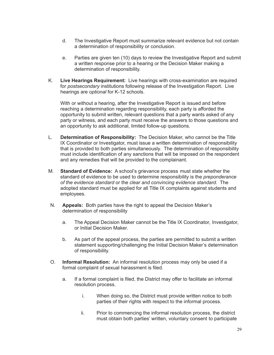- d. The Investigative Report must summarize relevant evidence but not contain a determination of responsibility or conclusion.
- e. Parties are given ten (10) days to review the Investigative Report and submit a written response prior to a hearing or the Decision Maker making a determination of responsibility.
- K. **Live Hearings Requirement:** Live hearings with cross-examination are required for *postsecondary* institutions following release of the Investigation Report. Live hearings are *optional* for K-12 schools.

With or without a hearing, after the Investigative Report is issued and before reaching a determination regarding responsibility, each party is afforded the opportunity to submit written, relevant questions that a party wants asked of any party or witness, and each party must receive the answers to those questions and an opportunity to ask additional, limited follow-up questions.

- L. **Determination of Responsibility:** The Decision Maker, who cannot be the Title IX Coordinator or Investigator, must issue a written determination of responsibility that is provided to both parties simultaneously. The determination of responsibility must include identification of any sanctions that will be imposed on the respondent and any remedies that will be provided to the complainant.
- M. **Standard of Evidence:** A school's grievance process must state whether the standard of evidence to be used to determine responsibility is the *preponderance of the evidence standard* or the *clear and convincing evidence standard*. The adopted standard must be applied for all Title IX complaints against students and employees.
- N. **Appeals:** Both parties have the right to appeal the Decision Maker's determination of responsibility
	- a. The Appeal Decision Maker cannot be the Title IX Coordinator, Investigator, or Initial Decision Maker.
	- b. As part of the appeal process, the parties are permitted to submit a written statement supporting/challenging the Initial Decision Maker's determination of responsibility.
- O. **Informal Resolution:** An informal resolution process may only be used if a formal complaint of sexual harassment is filed.
	- a. If a formal complaint is filed, the District may offer to facilitate an informal resolution process.
		- i. When doing so, the District must provide written notice to both parties of their rights with respect to the informal process.
		- ii. Prior to commencing the informal resolution process, the district must obtain both parties' written, voluntary consent to participate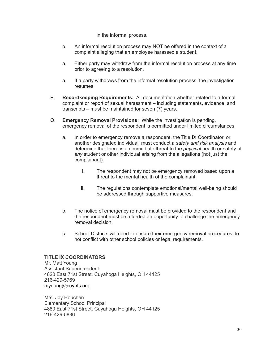in the informal process.

- b. An informal resolution process may NOT be offered in the context of a complaint alleging that an employee harassed a student.
- a. Either party may withdraw from the informal resolution process at any time prior to agreeing to a resolution.
- a. If a party withdraws from the informal resolution process, the investigation resumes.
- P. **Recordkeeping Requirements:** All documentation whether related to a formal complaint or report of sexual harassment – including statements, evidence, and transcripts – must be maintained for seven (7) years.
- Q. **Emergency Removal Provisions:** While the investigation is pending, emergency removal of the respondent is permitted under limited circumstances.
	- a. In order to emergency remove a respondent, the Title IX Coordinator, or another designated individual, must conduct a *safety and risk analysis* and determine that there is an immediate threat to the *physical* health or safety of *any* student or other individual arising from the allegations (not just the complainant).
		- i. The respondent may not be emergency removed based upon a threat to the mental health of the complainant.
		- ii. The regulations contemplate emotional/mental well-being should be addressed through supportive measures.
	- b. The notice of emergency removal must be provided to the respondent and the respondent must be afforded an opportunity to challenge the emergency removal decision.
	- c. School Districts will need to ensure their emergency removal procedures do not conflict with other school policies or legal requirements.

## **TITLE IX COORDINATORS**

Mr. Matt Young Assistant Superintendent 4820 East 71st Street, Cuyahoga Heights, OH 44125 216-429-5769 myoung@cuyhts.org

Mrs. Joy Houchen Elementary School Principal 4880 East 71st Street, Cuyahoga Heights, OH 44125 216-429-5836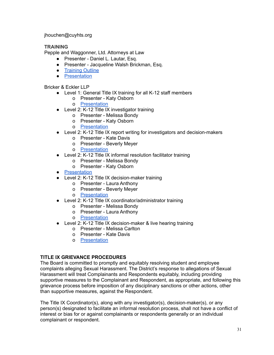jhouchen@cuyhts.org

## **TRAINING**

Pepple and Waggonner, Ltd. Attorneys at Law

- Presenter Daniel L. Lautar, Esq.
- Presenter Jacqueline Walsh Brickman, Esq.
- [Training](https://drive.google.com/file/d/1aLmOhfjVUU9XJdysqewtqjN3sIacepYA/view?usp=sharing) Outline
- [Presentation](https://drive.google.com/file/d/1caFAO5COzEyGCGfIipz4Z0xhzNAbdkiu/view?usp=sharing)

Bricker & Eckler LLP

- Level 1: General Title IX training for all K-12 staff members
	- o Presenter Katy Osborn
	- o [Presentation](https://drive.google.com/file/d/1bky4YZHfxnUX8_24nJvBje5cyeL6J_GX/view?usp=sharing)
- Level 2: K-12 Title IX investigator training
	- o Presenter Melissa Bondy
		- o Presenter Katy Osborn
		- o [Presentation](https://drive.google.com/file/d/1Qv-tsciaf-KUzDYBi9mmXWD3DbuBs8TV/view?usp=sharing)
- Level 2: K-12 Title IX report writing for investigators and decision-makers
	- o Presenter Kate Davis
	- o Presenter Beverly Meyer
	- o [Presentation](https://drive.google.com/file/d/1CARz9zeVNqYzmSb2IOR_p_zub8jlyIDw/view?usp=sharing)
- Level 2: K-12 Title IX informal resolution facilitator training
	- o Presenter Melissa Bondy
	- o Presenter Katy Osborn
- [Presentation](https://drive.google.com/file/d/1XfZlmKPlVs2gjzo608TR417PTJxrR3CK/view?usp=sharing)
- Level 2: K-12 Title IX decision-maker training
	- o Presenter Laura Anthony
	- o Presenter Beverly Meyer
	- o [Presentation](https://drive.google.com/file/d/1KnEu_QkWe-mvXtAm9jQWRaaBV3xL88Ie/view?usp=sharing)
- Level 2: K-12 Title IX coordinator/administrator training
	- o Presenter Melissa Bondy
	- o Presenter Laura Anthony
	- o [Presentation](https://drive.google.com/file/d/1TzBeJriibWOp_FFmRJHaVQibaAUUAQM1/view?usp=sharing)
- Level 2: K-12 Title IX decision-maker & live hearing training
	- o Presenter Melissa Carlton
	- o Presenter Kate Davis
	- o [Presentation](https://drive.google.com/file/d/1n4Jf86bQENeyVLMHRWd4JRgwGbhovGeS/view?usp=sharing)

## **TITLE IX GRIEVANCE PROCEDURES**

The Board is committed to promptly and equitably resolving student and employee complaints alleging Sexual Harassment. The District's response to allegations of Sexual Harassment will treat Complainants and Respondents equitably, including providing supportive measures to the Complainant and Respondent, as appropriate, and following this grievance process before imposition of any disciplinary sanctions or other actions, other than supportive measures, against the Respondent.

The Title IX Coordinator(s), along with any investigator(s), decision-maker(s), or any person(s) designated to facilitate an informal resolution process, shall not have a conflict of interest or bias for or against complainants or respondents generally or an individual complainant or respondent.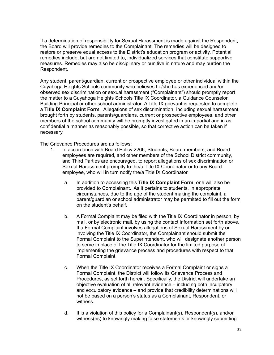If a determination of responsibility for Sexual Harassment is made against the Respondent, the Board will provide remedies to the Complainant. The remedies will be designed to restore or preserve equal access to the District's education program or activity. Potential remedies include, but are not limited to, individualized services that constitute supportive measures. Remedies may also be disciplinary or punitive in nature and may burden the Respondent.

Any student, parent/guardian, current or prospective employee or other individual within the Cuyahoga Heights Schools community who believes he/she has experienced and/or observed sex discrimination or sexual harassment ("Complainant") should promptly report the matter to a Cuyahoga Heights Schools Title IX Coordinator, a Guidance Counselor, Building Principal or other school administrator. A Title IX grievant is requested to complete a **Title IX Complaint Form**. Allegations of sex discrimination, including sexual harassment, brought forth by students, parents/guardians, current or prospective employees, and other members of the school community will be promptly investigated in an impartial and in as confidential a manner as reasonably possible, so that corrective action can be taken if necessary.

The Grievance Procedures are as follows:

- 1. In accordance with Board Policy 2266, Students, Board members, and Board employees are required, and other members of the School District community, and Third Parties are encouraged, to report allegations of sex discrimination or Sexual Harassment promptly to the/a Title IX Coordinator or to any Board employee, who will in turn notify the/a Title IX Coordinator.
	- a. In addition to accessing this **Title IX Complaint Form**, one will also be provided to Complainant. As it pertains to students, in appropriate circumstances, due to the age of the student making the complaint, a parent/guardian or school administrator may be permitted to fill out the form on the student's behalf.
	- b. A Formal Complaint may be filed with the Title IX Coordinator in person, by mail, or by electronic mail, by using the contact information set forth above. If a Formal Complaint involves allegations of Sexual Harassment by or involving the Title IX Coordinator, the Complainant should submit the Formal Complaint to the Superintendent, who will designate another person to serve in place of the Title IX Coordinator for the limited purpose of implementing the grievance process and procedures with respect to that Formal Complaint.
	- c. When the Title IX Coordinator receives a Formal Complaint or signs a Formal Complaint, the District will follow its Grievance Process and Procedures, as set forth herein. Specifically, the District will undertake an objective evaluation of all relevant evidence – including both inculpatory and exculpatory evidence – and provide that credibility determinations will not be based on a person's status as a Complainant, Respondent, or witness.
	- d. It is a violation of this policy for a Complainant(s), Respondent(s), and/or witness(es) to knowingly making false statements or knowingly submitting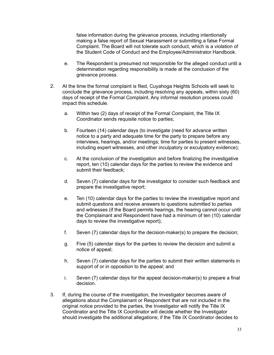false information during the grievance process, including intentionally making a false report of Sexual Harassment or submitting a false Formal Complaint. The Board will not tolerate such conduct, which is a violation of the Student Code of Conduct and the Employee/Administrator Handbook.

- e. The Respondent is presumed not responsible for the alleged conduct until a determination regarding responsibility is made at the conclusion of the grievance process.
- 2. At the time the formal complaint is filed, Cuyahoga Heights Schools will seek to conclude the grievance process, including resolving any appeals, within sixty (60) days of receipt of the Formal Complaint. Any informal resolution process could impact this schedule.
	- a. Within two (2) days of receipt of the Formal Complaint, the Title IX Coordinator sends requisite notice to parties;
	- b. Fourteen (14) calendar days (to investigate (need for advance written notice to a party and adequate time for the party to prepare before any interviews, hearings, and/or meetings; time for parties to present witnesses, including expert witnesses, and other inculpatory or exculpatory evidence);
	- c. At the conclusion of the investigation and before finalizing the investigative report, ten (10) calendar days for the parties to review the evidence and submit their feedback;
	- d. Seven (7) calendar days for the investigator to consider such feedback and prepare the investigative report;
	- e. Ten (10) calendar days for the parties to review the investigative report and submit questions and receive answers to questions submitted to parties and witnesses (if the Board permits hearings, the hearing cannot occur until the Complainant and Respondent have had a minimum of ten (10) calendar days to review the investigative report);
	- f. Seven (7) calendar days for the decision-maker(s) to prepare the decision;
	- g. Five (5) calendar days for the parties to review the decision and submit a notice of appeal;
	- h. Seven (7) calendar days for the parties to submit their written statements in support of or in opposition to the appeal; and
	- i. Seven (7) calendar days for the appeal decision-maker(s) to prepare a final decision.
- 3. If, during the course of the investigation, the Investigator becomes aware of allegations about the Complainant or Respondent that are not included in the original notice provided to the parties, the Investigator will notify the Title IX Coordinator and the Title IX Coordinator will decide whether the Investigator should investigate the additional allegations; if the Title IX Coordinator decides to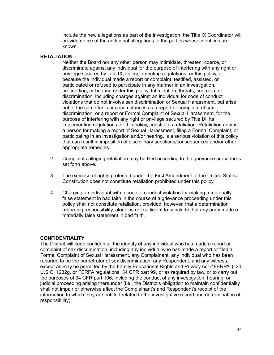include the new allegations as part of the investigation, the Title IX Coordinator will provide notice of the additional allegations to the parties whose identities are known.

## **RETALIATION**

- 1. Neither the Board nor any other person may intimidate, threaten, coerce, or discriminate against any individual for the purpose of interfering with any right or privilege secured by Title IX, its implementing regulations, or this policy, or because the individual made a report or complaint, testified, assisted, or participated or refused to participate in any manner in an investigation, proceeding, or hearing under this policy. Intimidation, threats, coercion, or discrimination, including charges against an individual for code of conduct violations that do not involve sex discrimination or Sexual Harassment, but arise out of the same facts or circumstances as a report or complaint of sex discrimination, or a report or Formal Complaint of Sexual Harassment, for the purpose of interfering with any right or privilege secured by Title IX, its implementing regulations, or this policy, constitutes retaliation. Retaliation against a person for making a report of Sexual Harassment, filing a Formal Complaint, or participating in an investigation and/or hearing, is a serious violation of this policy that can result in imposition of disciplinary sanctions/consequences and/or other appropriate remedies.
- 2. Complaints alleging retaliation may be filed according to the grievance procedures set forth above.
- 3. The exercise of rights protected under the First Amendment of the United States Constitution does not constitute retaliation prohibited under this policy.
- 4. Charging an individual with a code of conduct violation for making a materially false statement in bad faith in the course of a grievance proceeding under this policy shall not constitute retaliation, provided, however, that a determination regarding responsibility, alone, is not sufficient to conclude that any party made a materially false statement in bad faith.

## **CONFIDENTIALITY**

The District will keep confidential the identity of any individual who has made a report or complaint of sex discrimination, including any individual who has made a report or filed a Formal Complaint of Sexual Harassment, any Complainant, any individual who has been reported to be the perpetrator of sex discrimination, any Respondent, and any witness, except as may be permitted by the Family Educational Rights and Privacy Act ("FERPA"), 20 U.S.C. 1232g, or FERPA regulations, 34 CFR part 99, or as required by law, or to carry out the purposes of 34 CFR part 106, including the conduct of any investigation, hearing, or judicial proceeding arising thereunder (i.e., the District's obligation to maintain confidentiality shall not impair or otherwise affect the Complainant's and Respondent's receipt of the information to which they are entitled related to the investigative record and determination of responsibility).